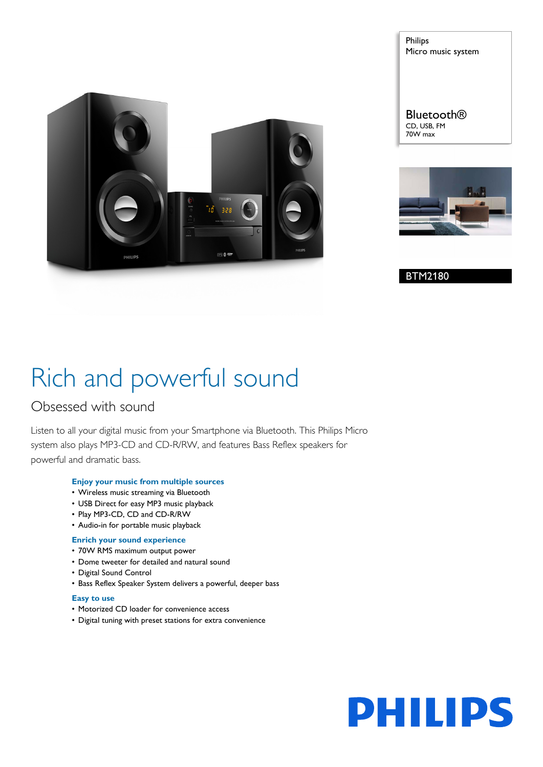

Philips Micro music system

**Bluetooth®** CD, USB, FM 70W max



BTM2180

# Rich and powerful sound

## Obsessed with sound

Listen to all your digital music from your Smartphone via Bluetooth. This Philips Micro system also plays MP3-CD and CD-R/RW, and features Bass Reflex speakers for powerful and dramatic bass.

### **Enjoy your music from multiple sources**

- Wireless music streaming via Bluetooth
- USB Direct for easy MP3 music playback
- Play MP3-CD, CD and CD-R/RW
- Audio-in for portable music playback

### **Enrich your sound experience**

- 70W RMS maximum output power
- Dome tweeter for detailed and natural sound
- Digital Sound Control
- Bass Reflex Speaker System delivers a powerful, deeper bass

### **Easy to use**

- Motorized CD loader for convenience access
- Digital tuning with preset stations for extra convenience